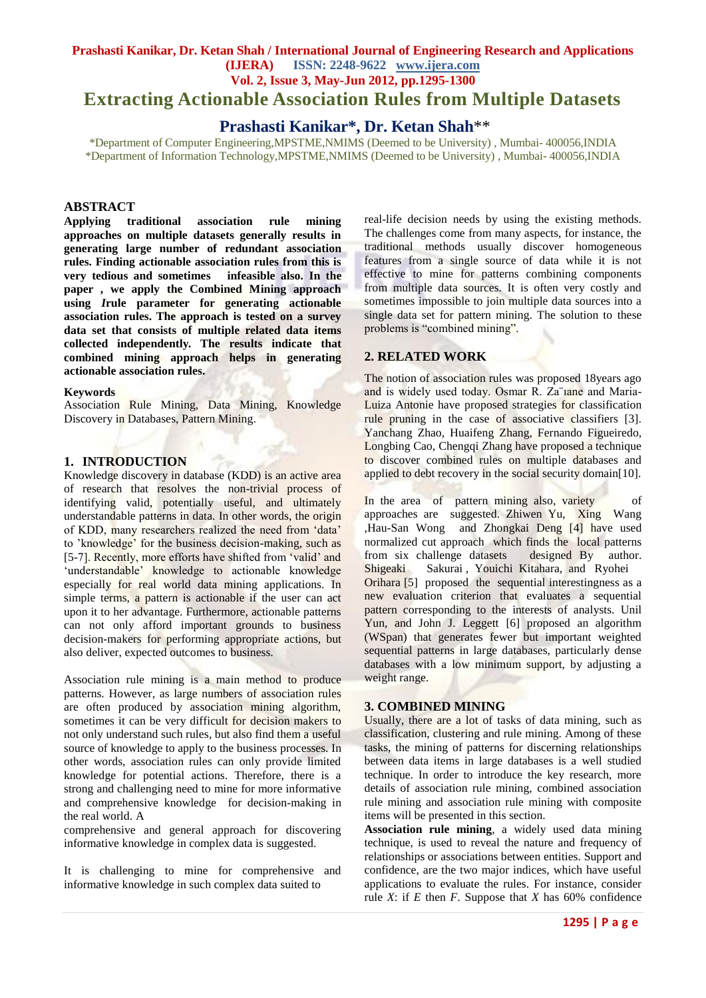## **Prashasti Kanikar, Dr. Ketan Shah / International Journal of Engineering Research and Applications (IJERA) ISSN: 2248-9622 www.ijera.com Vol. 2, Issue 3, May-Jun 2012, pp.1295-1300 Extracting Actionable Association Rules from Multiple Datasets**

# **Prashasti Kanikar\*, Dr. Ketan Shah**\*\*

\*Department of Computer Engineering,MPSTME,NMIMS (Deemed to be University) , Mumbai- 400056,INDIA \*Department of Information Technology,MPSTME,NMIMS (Deemed to be University) , Mumbai- 400056,INDIA

#### **ABSTRACT**

**Applying traditional association rule mining approaches on multiple datasets generally results in generating large number of redundant association rules. Finding actionable association rules from this is very tedious and sometimes infeasible also. In the paper , we apply the Combined Mining approach using** *I***rule parameter for generating actionable association rules. The approach is tested on a survey data set that consists of multiple related data items collected independently. The results indicate that combined mining approach helps in generating actionable association rules.**

#### **Keywords**

Association Rule Mining, Data Mining, Knowledge Discovery in Databases, Pattern Mining.

#### **1. INTRODUCTION**

Knowledge discovery in database (KDD) is an active area of research that resolves the non-trivial process of identifying valid, potentially useful, and ultimately understandable patterns in data. In other words, the origin of KDD, many researchers realized the need from 'data' to 'knowledge' for the business decision-making, such as [5-7]. Recently, more efforts have shifted from 'valid' and 'understandable' knowledge to actionable knowledge especially for real world data mining applications. In simple terms, a pattern is actionable if the user can act upon it to her advantage. Furthermore, actionable patterns can not only afford important grounds to business decision-makers for performing appropriate actions, but also deliver, expected outcomes to business.

Association rule mining is a main method to produce patterns. However, as large numbers of association rules are often produced by association mining algorithm, sometimes it can be very difficult for decision makers to not only understand such rules, but also find them a useful source of knowledge to apply to the business processes. In other words, association rules can only provide limited knowledge for potential actions. Therefore, there is a strong and challenging need to mine for more informative and comprehensive knowledge for decision-making in the real world. A

comprehensive and general approach for discovering informative knowledge in complex data is suggested.

It is challenging to mine for comprehensive and informative knowledge in such complex data suited to

real-life decision needs by using the existing methods. The challenges come from many aspects, for instance, the traditional methods usually discover homogeneous features from a single source of data while it is not effective to mine for patterns combining components from multiple data sources. It is often very costly and sometimes impossible to join multiple data sources into a single data set for pattern mining. The solution to these problems is "combined mining".

## **2. RELATED WORK**

The notion of association rules was proposed 18years ago and is widely used today. Osmar R. Za¨ıane and Maria-Luiza Antonie have proposed strategies for classification rule pruning in the case of associative classifiers [3]. Yanchang Zhao, Huaifeng Zhang, Fernando Figueiredo, Longbing Cao, Chengqi Zhang have proposed a technique to discover combined rules on multiple databases and applied to debt recovery in the social security domain[10].

In the area of pattern mining also, variety of approaches are suggested. Zhiwen Yu, Xing Wang ,Hau-San Wong and Zhongkai Deng [4] have used normalized cut approach which finds the local patterns from six challenge datasets designed By author. Shigeaki Sakurai, Youichi Kitahara, and Ryohei Orihara [5] proposed the sequential interestingness as a new evaluation criterion that evaluates a sequential pattern corresponding to the interests of analysts. Unil Yun, and John J. Leggett [6] proposed an algorithm (WSpan) that generates fewer but important weighted sequential patterns in large databases, particularly dense databases with a low minimum support, by adjusting a weight range.

#### **3. COMBINED MINING**

Usually, there are a lot of tasks of data mining, such as classification, clustering and rule mining. Among of these tasks, the mining of patterns for discerning relationships between data items in large databases is a well studied technique. In order to introduce the key research, more details of association rule mining, combined association rule mining and association rule mining with composite items will be presented in this section.

**Association rule mining**, a widely used data mining technique, is used to reveal the nature and frequency of relationships or associations between entities. Support and confidence, are the two major indices, which have useful applications to evaluate the rules. For instance, consider rule *X*: if *E* then *F*. Suppose that *X* has 60% confidence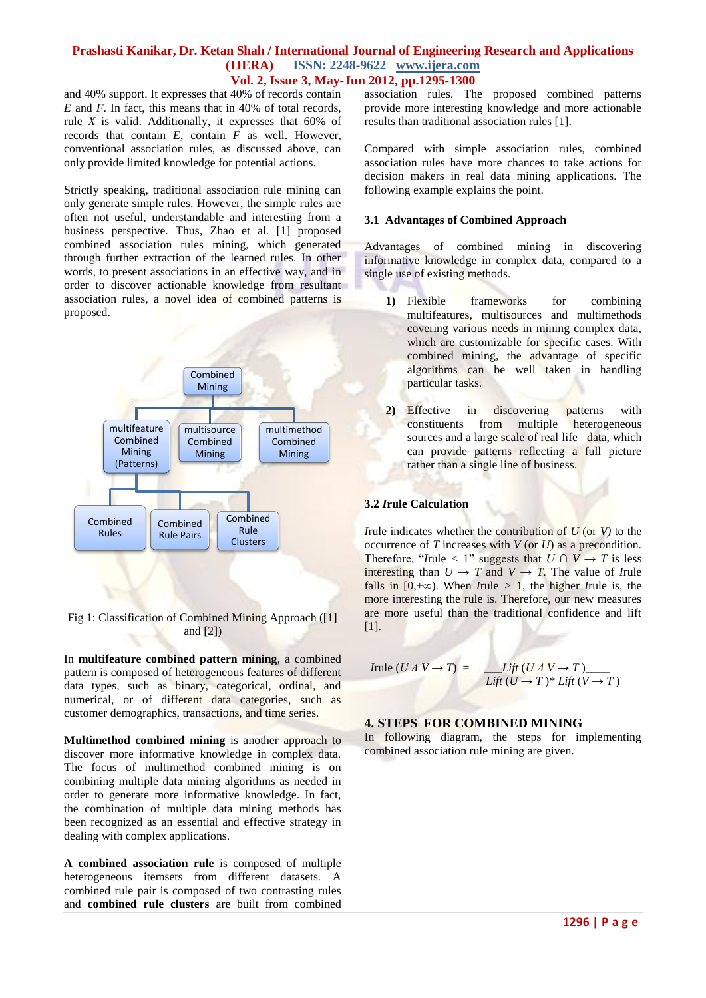and 40% support. It expresses that 40% of records contain *E* and *F*. In fact, this means that in 40% of total records, rule *X* is valid. Additionally, it expresses that 60% of records that contain *E*, contain *F* as well. However, conventional association rules, as discussed above, can only provide limited knowledge for potential actions.

Strictly speaking, traditional association rule mining can only generate simple rules. However, the simple rules are often not useful, understandable and interesting from a business perspective. Thus, Zhao et al. [1] proposed combined association rules mining, which generated through further extraction of the learned rules. In other words, to present associations in an effective way, and in order to discover actionable knowledge from resultant association rules, a novel idea of combined patterns is proposed.



Fig 1: Classification of Combined Mining Approach ([1] and [2])

In **multifeature combined pattern mining**, a combined pattern is composed of heterogeneous features of different data types, such as binary, categorical, ordinal, and numerical, or of different data categories, such as customer demographics, transactions, and time series.

**Multimethod combined mining** is another approach to discover more informative knowledge in complex data. The focus of multimethod combined mining is on combining multiple data mining algorithms as needed in order to generate more informative knowledge. In fact, the combination of multiple data mining methods has been recognized as an essential and effective strategy in dealing with complex applications.

**A combined association rule** is composed of multiple heterogeneous itemsets from different datasets. A combined rule pair is composed of two contrasting rules and **combined rule clusters** are built from combined association rules. The proposed combined patterns provide more interesting knowledge and more actionable results than traditional association rules [1].

Compared with simple association rules, combined association rules have more chances to take actions for decision makers in real data mining applications. The following example explains the point.

#### **3.1 Advantages of Combined Approach**

Advantages of combined mining in discovering informative knowledge in complex data, compared to a single use of existing methods.

- **1)** Flexible frameworks for combining multifeatures, multisources and multimethods covering various needs in mining complex data, which are customizable for specific cases. With combined mining, the advantage of specific algorithms can be well taken in handling particular tasks.
- **2)** Effective in discovering patterns with constituents from multiple heterogeneous sources and a large scale of real life data, which can provide patterns reflecting a full picture rather than a single line of business.

#### **3.2** *I***rule Calculation**

*I*rule indicates whether the contribution of  $U$  (or  $V$ ) to the occurrence of *T* increases with *V* (or *U*) as a precondition. Therefore, "*I*rule < 1" suggests that  $U \cap V \rightarrow T$  is less interesting than  $U \to T$  and  $V \to T$ . The value of *I*rule falls in  $[0, +\infty)$ . When *I*rule > 1, the higher *I*rule is, the more interesting the rule is. Therefore, our new measures are more useful than the traditional confidence and lift [1].

$$
Irule (UA V \rightarrow T) = \frac{Lift (UA V \rightarrow T)}{Lift (U \rightarrow T)^* Lift (V \rightarrow T)}
$$

#### **4. STEPS FOR COMBINED MINING**

In following diagram, the steps for implementing combined association rule mining are given.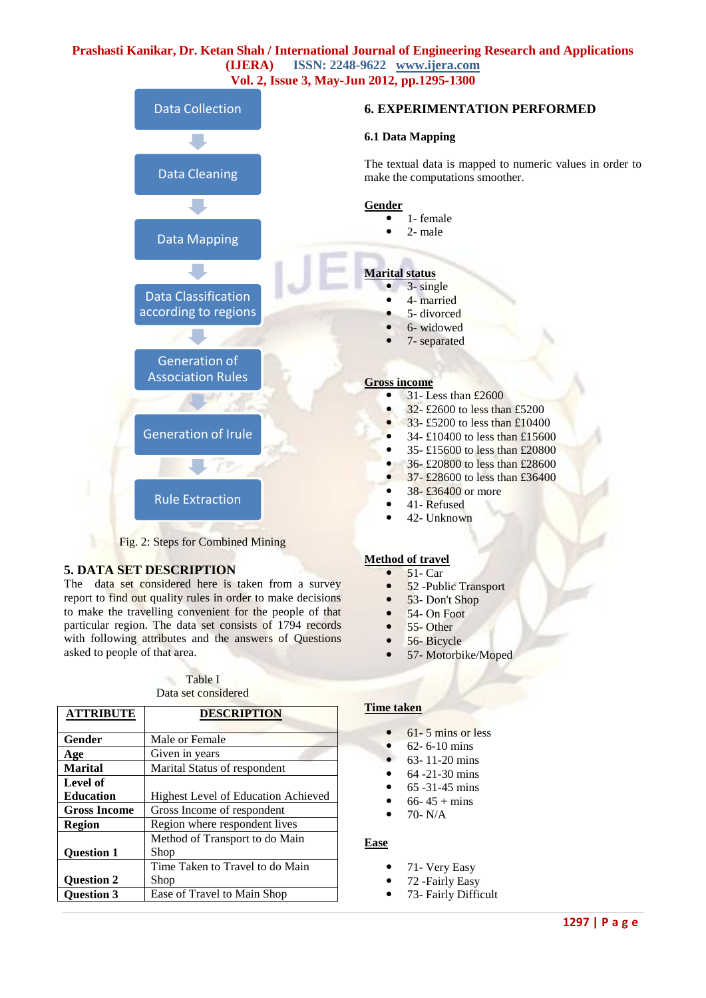

#### **5. DATA SET DESCRIPTION**

The data set considered here is taken from a survey report to find out quality rules in order to make decisions to make the travelling convenient for the people of that particular region. The data set consists of 1794 records with following attributes and the answers of Questions asked to people of that area.

Table I Data set considered

| <b>ATTRIBUTE</b>    | <b>DESCRIPTION</b>                         |  |  |  |  |
|---------------------|--------------------------------------------|--|--|--|--|
|                     |                                            |  |  |  |  |
| Gender              | Male or Female                             |  |  |  |  |
| Age                 | Given in years                             |  |  |  |  |
| <b>Marital</b>      | Marital Status of respondent               |  |  |  |  |
| Level of            |                                            |  |  |  |  |
| <b>Education</b>    | <b>Highest Level of Education Achieved</b> |  |  |  |  |
| <b>Gross Income</b> | Gross Income of respondent                 |  |  |  |  |
| <b>Region</b>       | Region where respondent lives              |  |  |  |  |
|                     | Method of Transport to do Main             |  |  |  |  |
| <b>Ouestion 1</b>   | Shop                                       |  |  |  |  |
|                     | Time Taken to Travel to do Main            |  |  |  |  |
| <b>Ouestion 2</b>   | Shop                                       |  |  |  |  |
| <b>Question 3</b>   | Ease of Travel to Main Shop                |  |  |  |  |

## **Time taken**

**Method of travel**   $\bullet$  51- Car

61- 5 mins or less

• 52 -Public Transport • 53- Don't Shop  $\bullet$  54- On Foot  $• 55-Other$  $\bullet$  56- Bicycle<br> $\bullet$  57- Motorbi

57- Motorbike/Moped

- 62- 6-10 mins
- 63- 11-20 mins
- 64 -21-30 mins
- 65 -31-45 mins
- $66 45 + \text{mins}$
- $\bullet$  70- N/A

#### **Ease**

- 71- Very Easy
- 72 -Fairly Easy
- 73- Fairly Difficult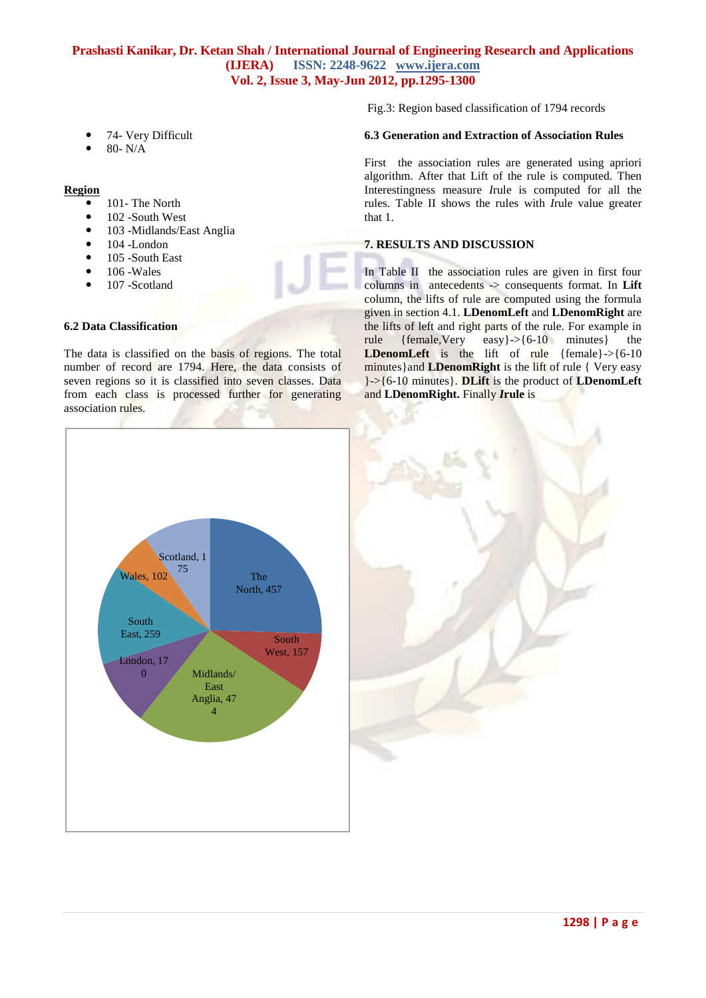- 74- Very Difficult
- 80- N/A

**Region** 

- 101- The North
- 102 -South West
- 103 -Midlands/East Anglia
- 104 -London
- 105 -South East
- 106 -Wales
- 107 -Scotland

#### **6.2 Data Classification**

The data is classified on the basis of regions. The total number of record are 1794. Here, the data consists of seven regions so it is classified into seven classes. Data from each class is processed further for generating association rules.

Fig.3: Region based classification of 1794 records

#### **6.3 Generation and Extraction of Association Rules**

First the association rules are generated using apriori algorithm. After that Lift of the rule is computed. Then Interestingness measure *I*rule is computed for all the rules. Table II shows the rules with *I*rule value greater that 1.

## **7. RESULTS AND DISCUSSION**

In Table II the association rules are given in first four columns in antecedents -> consequents format. In **Lift**  column, the lifts of rule are computed using the formula given in section 4.1. **LDenomLeft** and **LDenomRight** are the lifts of left and right parts of the rule. For example in rule {female,Very easy}->{6-10 minutes} the **LDenomLeft** is the lift of rule {female}->{6-10 minutes}and **LDenomRight** is the lift of rule { Very easy }->{6-10 minutes}. **DLift** is the product of **LDenomLeft**  and **LDenomRight.** Finally *I***rule** is



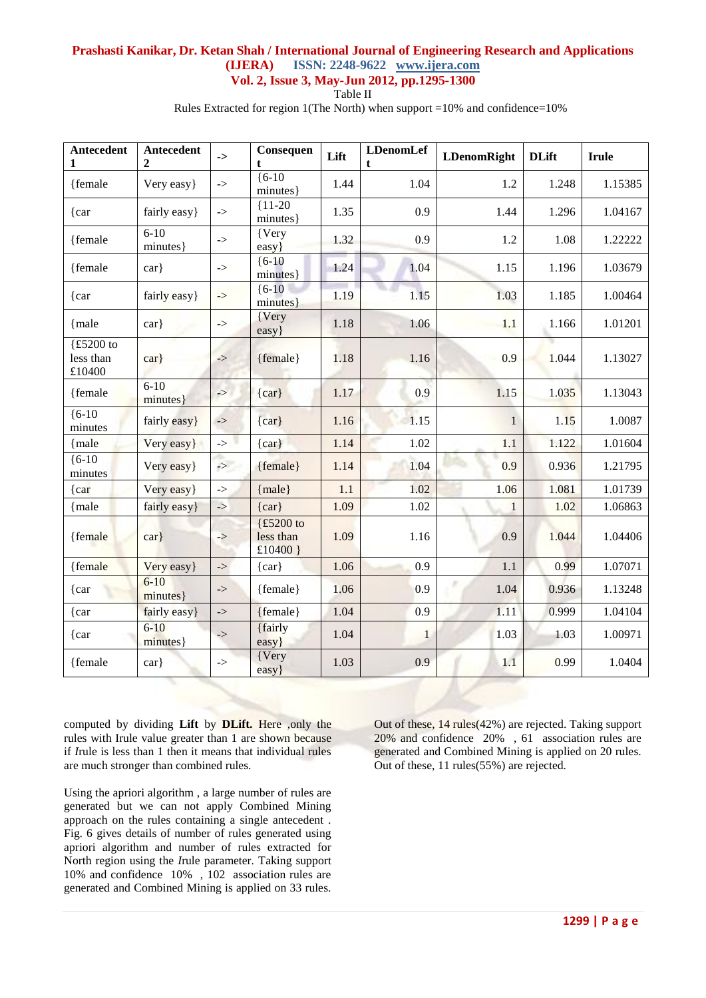Table II

Rules Extracted for region 1(The North) when support =10% and confidence=10%

| Antecedent<br>1                  | Antecedent<br>$\mathbf{2}$ | ->                                                       | Consequen<br>t                       | Lift | <b>LDenomLef</b><br>$\mathbf{t}$ | <b>LDenomRight</b> | <b>DLift</b> | <b>Irule</b> |
|----------------------------------|----------------------------|----------------------------------------------------------|--------------------------------------|------|----------------------------------|--------------------|--------------|--------------|
| {female                          | Very easy}                 | $\mathord{\text{--}}$                                    | $(6-10)$<br>minutes}                 | 1.44 | 1.04                             | 1.2                | 1.248        | 1.15385      |
| $\{car$                          | fairly easy}               | $\Rightarrow$                                            | ${11-20}$<br>minutes}                | 1.35 | 0.9                              | 1.44               | 1.296        | 1.04167      |
| {female                          | $6-10$<br>minutes }        | $\mathord{\text{--}}$                                    | {Very<br>easy}                       | 1.32 | 0.9                              | 1.2                | 1.08         | 1.22222      |
| {female                          | $\operatorname{car}$       | $\mathord{\text{--}}$                                    | ${6-10}$<br>minutes}                 | 1.24 | 1.04                             | 1.15               | 1.196        | 1.03679      |
| $\{car$                          | fairly easy}               | $\mathord{\text{--}}$                                    | ${6-10}$<br>minutes}                 | 1.19 | 1.15                             | 1.03               | 1.185        | 1.00464      |
| {male}                           | $\operatorname{car}$       | $\mathord{\text{--}}$                                    | {Very<br>easy}                       | 1.18 | 1.06                             | 1.1                | 1.166        | 1.01201      |
| {£5200 to<br>less than<br>£10400 | $\operatorname{car}$       | $\Rightarrow$                                            | {female}                             | 1.18 | 1.16                             | 0.9                | 1.044        | 1.13027      |
| {female}                         | $6 - 10$<br>minutes }      | $\Rightarrow$                                            | $\{car\}$                            | 1.17 | 0.9                              | 1.15               | 1.035        | 1.13043      |
| ${6-10}$<br>minutes              | fairly easy}               | $\mathord{\hspace{1pt}\text{--}\hspace{1pt}}\mathord{>}$ | $\{car\}$                            | 1.16 | 1.15                             | $\mathbf{1}$       | 1.15         | 1.0087       |
| {male                            | Very easy}                 | $\mathord{\text{--}}$                                    | $\{ car\}$                           | 1.14 | 1.02                             | 1.1                | 1.122        | 1.01604      |
| ${6-10}$<br>minutes              | Very easy }                | $\rightarrow$                                            | {female}                             | 1.14 | 1.04                             | 0.9                | 0.936        | 1.21795      |
| $\{car$                          | Very easy}                 | $\mathord{\text{--}}$                                    | ${male}$                             | 1.1  | 1.02                             | 1.06               | 1.081        | 1.01739      |
| {male                            | fairly easy}               | $\Rightarrow$                                            | $\{car\}$                            | 1.09 | 1.02                             | $\mathbf{1}$       | 1.02         | 1.06863      |
| {female                          | $\operatorname{car}$       | $\ensuremath{\rightarrow}$                               | {£5200 to<br>less than<br>£10400 $]$ | 1.09 | 1.16                             | 0.9                | 1.044        | 1.04406      |
| {female                          | Very easy}                 | $\ensuremath{\rightarrow}$                               | $\{car\}$                            | 1.06 | 0.9                              | 1.1                | 0.99         | 1.07071      |
| $\{car$                          | $6 - 10$<br>minutes }      | $\Rightarrow$                                            | {female}                             | 1.06 | 0.9                              | 1.04               | 0.936        | 1.13248      |
| {car                             | fairly easy}               | $\mathord{\text{--}}$                                    | ${female}$                           | 1.04 | 0.9                              | 1.11               | 0.999        | 1.04104      |
| $\{car$                          | $6 - 10$<br>minutes}       | $\mathord{\rightarrow}$                                  | {fairly<br>easy}                     | 1.04 | $\mathbf{1}$                     | 1.03               | 1.03         | 1.00971      |
| {female}                         | $\operatorname{car}$       | $\mathord{\text{--}}$                                    | {Very<br>easy}                       | 1.03 | 0.9                              | 1.1                | 0.99         | 1.0404       |

computed by dividing **Lift** by **DLift.** Here ,only the rules with Irule value greater than 1 are shown because if *I*rule is less than 1 then it means that individual rules are much stronger than combined rules.

Using the apriori algorithm , a large number of rules are generated but we can not apply Combined Mining approach on the rules containing a single antecedent . Fig. 6 gives details of number of rules generated using apriori algorithm and number of rules extracted for North region using the *I*rule parameter. Taking support 10% and confidence 10% , 102 association rules are generated and Combined Mining is applied on 33 rules.

Out of these, 14 rules(42%) are rejected. Taking support 20% and confidence 20% , 61 association rules are generated and Combined Mining is applied on 20 rules. Out of these, 11 rules(55%) are rejected.